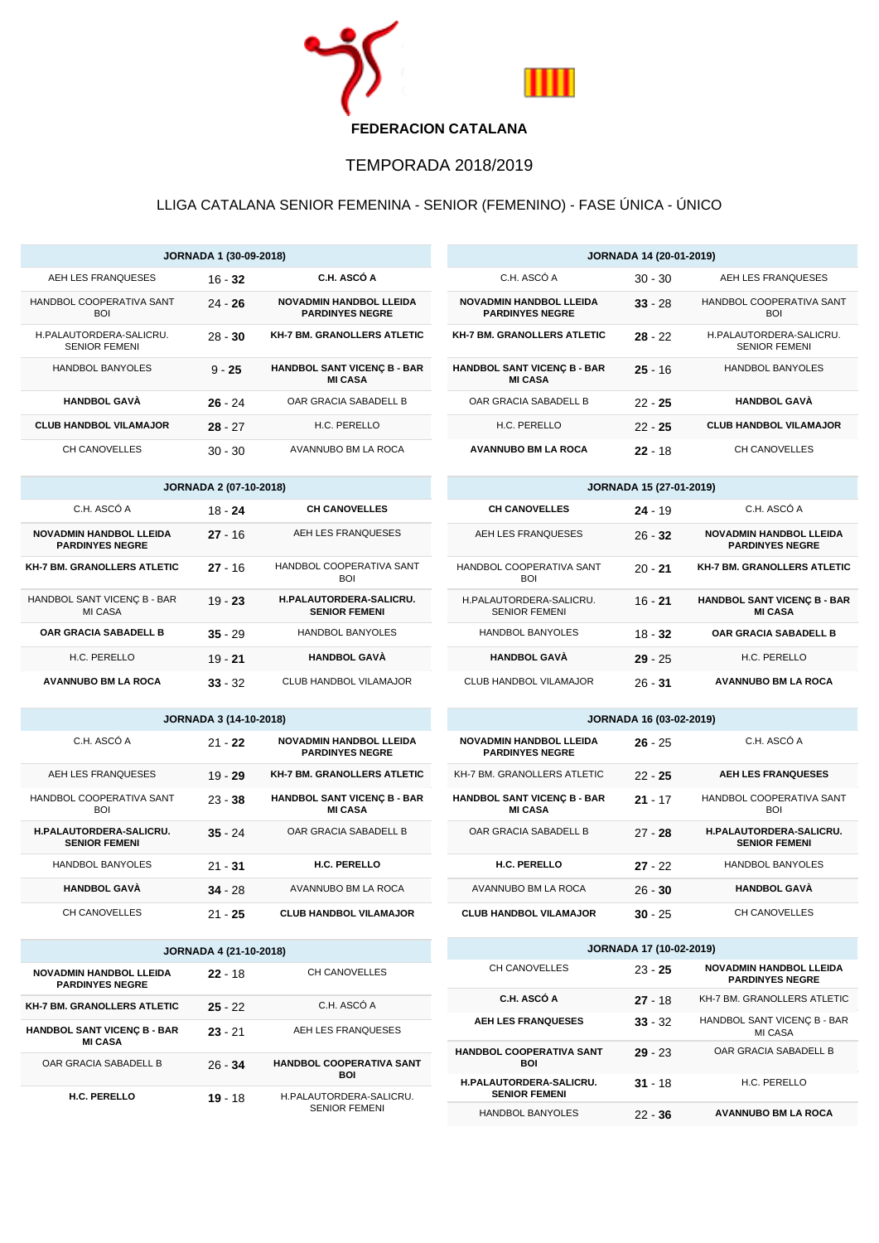

## TEMPORADA 2018/2019

## LLIGA CATALANA SENIOR FEMENINA - SENIOR (FEMENINO) - FASE ÚNICA - ÚNICO

| <b>JORNADA 1 (30-09-2018)</b>                   |           |                                                          |
|-------------------------------------------------|-----------|----------------------------------------------------------|
| AEH LES FRANQUESES                              | $16 - 32$ | C.H. ASCÓ A                                              |
| HANDBOL COOPERATIVA SANT<br><b>BOI</b>          | $24 - 26$ | <b>NOVADMIN HANDBOL LLEIDA</b><br><b>PARDINYES NEGRE</b> |
| H.PALAUTORDERA-SALICRU.<br><b>SENIOR FEMENI</b> | $28 - 30$ | <b>KH-7 BM. GRANOLLERS ATLETIC</b>                       |
| <b>HANDBOL BANYOLES</b>                         | $9 - 25$  | <b>HANDBOL SANT VICENC B - BAR</b><br><b>MI CASA</b>     |
| <b>HANDBOL GAVÀ</b>                             | $26 - 24$ | OAR GRACIA SABADELL B                                    |
| <b>CLUB HANDBOL VILAMAJOR</b>                   | $28 - 27$ | H.C. PERELLO                                             |
| CH CANOVELLES                                   | $30 - 30$ | AVANNUBO BM LA ROCA                                      |

| <b>JORNADA 2 (07-10-2018)</b>                            |           |                                                        |  |
|----------------------------------------------------------|-----------|--------------------------------------------------------|--|
| C.H. ASCÓ A                                              | 18 - 24   | <b>CH CANOVELLES</b>                                   |  |
| <b>NOVADMIN HANDBOL LLEIDA</b><br><b>PARDINYES NEGRE</b> | $27 - 16$ | AEH LES FRANQUESES                                     |  |
| <b>KH-7 BM, GRANOLLERS ATLETIC</b>                       | $27 - 16$ | HANDBOL COOPERATIVA SANT<br><b>BOI</b>                 |  |
| HANDBOL SANT VICENC B - BAR<br>MI CASA                   | $19 - 23$ | <b>H.PALAUTORDERA-SALICRU.</b><br><b>SENIOR FEMENI</b> |  |
| OAR GRACIA SABADELL B                                    | $35 - 29$ | <b>HANDBOL BANYOLES</b>                                |  |
| H.C. PERELLO                                             | $19 - 21$ | <b>HANDBOL GAVÀ</b>                                    |  |
| <b>AVANNUBO BM LA ROCA</b>                               | $33 - 32$ | CLUB HANDBOL VILAMAJOR                                 |  |

| <b>JORNADA 3 (14-10-2018)</b>                                                                 |  |  |
|-----------------------------------------------------------------------------------------------|--|--|
| C.H. ASCÓ A<br><b>NOVADMIN HANDBOL LLEIDA</b><br>$21 - 22$<br><b>PARDINYES NEGRE</b>          |  |  |
| AEH LES FRANQUESES<br><b>KH-7 BM, GRANOLLERS ATLETIC</b><br>$19 - 29$                         |  |  |
| HANDBOL COOPERATIVA SANT<br><b>HANDBOL SANT VICENC B - BAR</b><br>$23 - 38$<br><b>MI CASA</b> |  |  |
| OAR GRACIA SABADELL B<br><b>H.PALAUTORDERA-SALICRU.</b><br>$35 - 24$<br><b>SENIOR FEMENI</b>  |  |  |
| H.C. PERELLO<br><b>HANDBOL BANYOLES</b><br>$21 - 31$                                          |  |  |
| <b>HANDBOL GAVÀ</b><br>AVANNUBO BM LA ROCA<br>$34 - 28$                                       |  |  |
| CH CANOVELLES<br><b>CLUB HANDBOL VILAMAJOR</b><br>$21 - 25$                                   |  |  |

| <b>JORNADA 4 (21-10-2018)</b>                            |           |                                                 |  |
|----------------------------------------------------------|-----------|-------------------------------------------------|--|
| <b>NOVADMIN HANDBOL LLEIDA</b><br><b>PARDINYES NEGRE</b> | $22 - 18$ | CH CANOVELLES                                   |  |
| <b>KH-7 BM, GRANOLLERS ATLETIC</b>                       | $25 - 22$ | C.H. ASCÓ A                                     |  |
| <b>HANDBOL SANT VICENC B - BAR</b><br><b>MI CASA</b>     | $23 - 21$ | AEH LES FRANQUESES                              |  |
| OAR GRACIA SABADELL B                                    | $26 - 34$ | <b>HANDBOL COOPERATIVA SANT</b><br>BOI          |  |
| H.C. PERELLO                                             | $19 - 18$ | H.PALAUTORDERA-SALICRU.<br><b>SENIOR FEMENI</b> |  |

| <b>JORNADA 14 (20-01-2019)</b>                           |           |                                                 |  |
|----------------------------------------------------------|-----------|-------------------------------------------------|--|
| C.H. ASCÓ A                                              | $30 - 30$ | AEH LES FRANQUESES                              |  |
| <b>NOVADMIN HANDBOL LLEIDA</b><br><b>PARDINYES NEGRE</b> | $33 - 28$ | HANDBOL COOPERATIVA SANT<br><b>BOI</b>          |  |
| <b>KH-7 BM, GRANOLLERS ATLETIC</b>                       | $28 - 22$ | H.PALAUTORDERA-SALICRU.<br><b>SENIOR FEMENI</b> |  |
| <b>HANDBOL SANT VICENC B - BAR</b><br><b>MI CASA</b>     | $25 - 16$ | <b>HANDBOL BANYOLES</b>                         |  |
| OAR GRACIA SABADELL B                                    | $22 - 25$ | HANDBOL GAVÀ                                    |  |
| H.C. PERELLO                                             | $22 - 25$ | <b>CLUB HANDBOL VILAMAJOR</b>                   |  |
| <b>AVANNUBO BM LA ROCA</b>                               | $22 - 18$ | CH CANOVELLES                                   |  |

| <b>JORNADA 15 (27-01-2019)</b>                  |           |                                                          |
|-------------------------------------------------|-----------|----------------------------------------------------------|
| <b>CH CANOVELLES</b>                            | $24 - 19$ | C.H. ASCÓ A                                              |
| AEH LES FRANQUESES                              | $26 - 32$ | <b>NOVADMIN HANDBOL LLEIDA</b><br><b>PARDINYES NEGRE</b> |
| HANDBOL COOPERATIVA SANT<br><b>BOI</b>          | $20 - 21$ | <b>KH-7 BM. GRANOLLERS ATLETIC</b>                       |
| H.PALAUTORDERA-SALICRU.<br><b>SENIOR FEMENI</b> | $16 - 21$ | <b>HANDBOL SANT VICENC B - BAR</b><br><b>MI CASA</b>     |
| <b>HANDBOL BANYOLES</b>                         | $18 - 32$ | <b>OAR GRACIA SABADELL B</b>                             |
| <b>HANDBOL GAVÀ</b>                             | $29 - 25$ | H.C. PERELLO                                             |
| CLUB HANDBOL VILAMAJOR                          | $26 - 31$ | <b>AVANNUBO BM LA ROCA</b>                               |

| <b>JORNADA 16 (03-02-2019)</b>                           |           |                                                        |
|----------------------------------------------------------|-----------|--------------------------------------------------------|
| <b>NOVADMIN HANDBOL LLEIDA</b><br><b>PARDINYES NEGRE</b> | $26 - 25$ | C.H. ASCÓ A                                            |
| KH-7 BM. GRANOLLERS ATLETIC                              | $22 - 25$ | <b>AEH LES FRANQUESES</b>                              |
| <b>HANDBOL SANT VICENC B - BAR</b><br><b>MI CASA</b>     | $21 - 17$ | HANDBOL COOPERATIVA SANT<br>BOI                        |
| OAR GRACIA SABADELL B                                    | $27 - 28$ | <b>H.PALAUTORDERA-SALICRU.</b><br><b>SENIOR FEMENI</b> |
| <b>H.C. PERELLO</b>                                      | $27 - 22$ | <b>HANDBOL BANYOLES</b>                                |
| AVANNUBO BM LA ROCA                                      | $26 - 30$ | <b>HANDBOL GAVÀ</b>                                    |
| <b>CLUB HANDBOL VILAMAJOR</b>                            | $30 - 25$ | CH CANOVELLES                                          |

| <b>JORNADA 17 (10-02-2019)</b>                         |           |                                                          |  |  |
|--------------------------------------------------------|-----------|----------------------------------------------------------|--|--|
| CH CANOVELLES                                          | $23 - 25$ | <b>NOVADMIN HANDBOL LLEIDA</b><br><b>PARDINYES NEGRE</b> |  |  |
| C.H. ASCÓ A                                            | $27 - 18$ | KH-7 BM. GRANOLLERS ATLETIC                              |  |  |
| <b>AEH LES FRANQUESES</b>                              | $33 - 32$ | HANDBOL SANT VICENC B - BAR<br>MI CASA                   |  |  |
| <b>HANDBOL COOPERATIVA SANT</b><br>BOI                 | $29 - 23$ | OAR GRACIA SABADELL B                                    |  |  |
| <b>H.PALAUTORDERA-SALICRU.</b><br><b>SENIOR FEMENI</b> | $31 - 18$ | H.C. PERELLO                                             |  |  |
| <b>HANDBOL BANYOLES</b>                                | $22 - 36$ | <b>AVANNUBO BM LA ROCA</b>                               |  |  |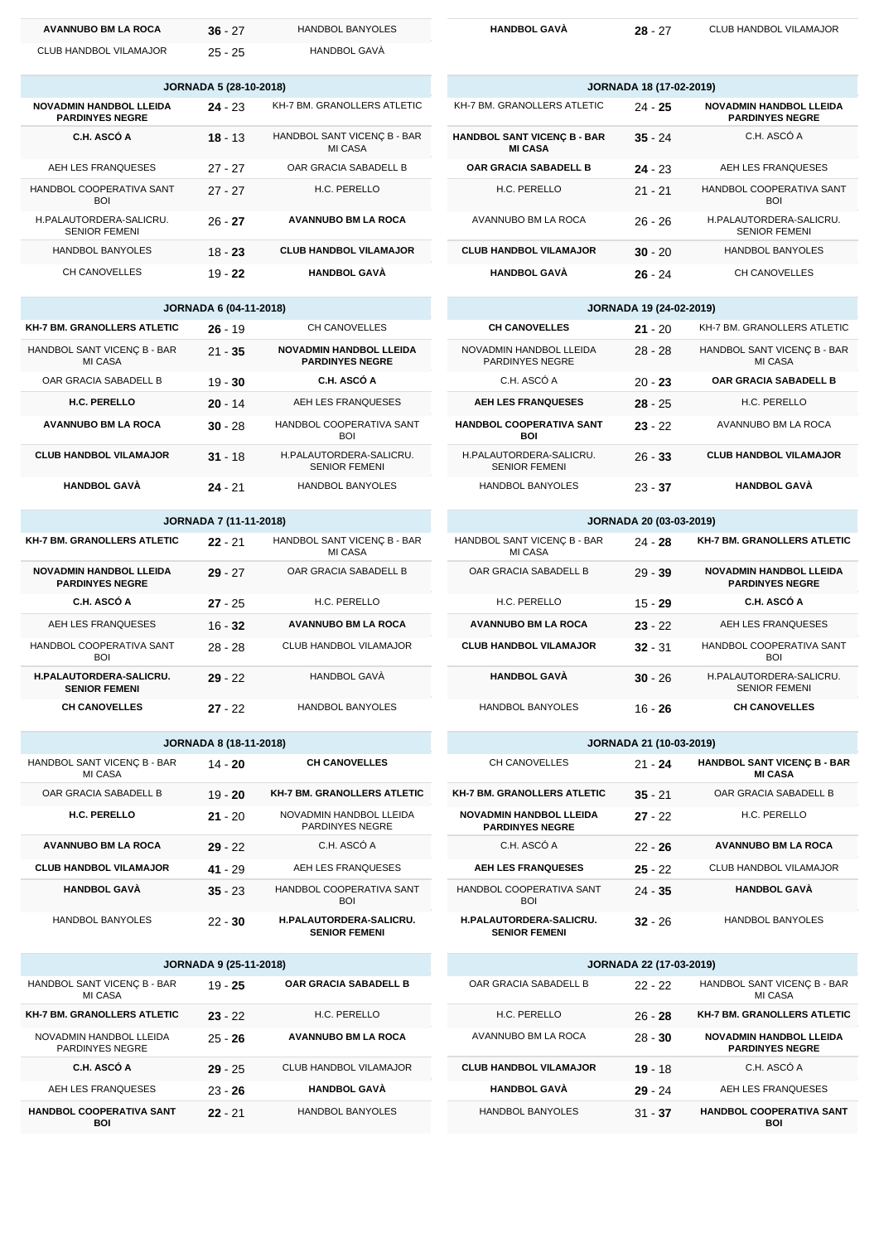| <b>AVANNUBO BM LA ROCA</b> | $36 - 27$              | HANDBOL BANYOLES | <b>HANDBOL GA</b> |
|----------------------------|------------------------|------------------|-------------------|
| CLUB HANDBOL VILAMAJOR     | $25 - 25$              | HANDBOL GAVA     |                   |
|                            | JORNADA 5 (28-10-2018) |                  |                   |

|                                        | $0.01117757$ $0.020107$ |                                                          |
|----------------------------------------|-------------------------|----------------------------------------------------------|
| KH-7 BM. GRANOLLERS ATLETIC            | $24 - 23$               | <b>NOVADMIN HANDBOL LLEIDA</b><br><b>PARDINYES NEGRE</b> |
| HANDBOL SANT VICENC B - BAR<br>MI CASA | $18 - 13$               | C.H. ASCÓ A                                              |
| OAR GRACIA SABADELL B                  | $27 - 27$               | AEH LES FRANQUESES                                       |
| H.C. PERELLO                           | $27 - 27$               | HANDBOL COOPERATIVA SANT<br>BOI                          |
| <b>AVANNUBO BM LA ROCA</b>             | $26 - 27$               | H.PALAUTORDERA-SALICRU.<br><b>SENIOR FEMENI</b>          |
| <b>CLUB HANDBOL VILAMAJOR</b>          | $18 - 23$               | <b>HANDBOL BANYOLES</b>                                  |
| <b>HANDBOL GAVÀ</b>                    | $19 - 22$               | CH CANOVELLES                                            |

| <b>JORNADA 6 (04-11-2018)</b>          |           |                                                          |  |
|----------------------------------------|-----------|----------------------------------------------------------|--|
| <b>KH-7 BM. GRANOLLERS ATLETIC</b>     | $26 - 19$ | <b>CH CANOVELLES</b>                                     |  |
| HANDBOL SANT VICENC B - BAR<br>MI CASA | $21 - 35$ | <b>NOVADMIN HANDBOL LLEIDA</b><br><b>PARDINYES NEGRE</b> |  |
| OAR GRACIA SABADELL B                  | $19 - 30$ | C.H. ASCÓ A                                              |  |
| H.C. PERELLO                           | $20 - 14$ | AEH LES FRANQUESES                                       |  |
| <b>AVANNUBO BM LA ROCA</b>             | $30 - 28$ | HANDBOL COOPERATIVA SANT<br>BOI                          |  |
| <b>CLUB HANDBOL VILAMAJOR</b>          | $31 - 18$ | H.PALAUTORDERA-SALICRU.<br><b>SENIOR FEMENI</b>          |  |
| <b>HANDBOL GAVÀ</b>                    | $24 - 21$ | <b>HANDBOL BANYOLES</b>                                  |  |

| <b>JORNADA 7 (11-11-2018)</b> |  |
|-------------------------------|--|
|-------------------------------|--|

| <b>KH-7 BM. GRANOLLERS ATLETIC</b>                       | $22 - 21$ | HANDBOL SANT VICENC B - BAR<br>MI CASA |
|----------------------------------------------------------|-----------|----------------------------------------|
| <b>NOVADMIN HANDBOL LLEIDA</b><br><b>PARDINYES NEGRE</b> | $29 - 27$ | OAR GRACIA SABADELL B                  |
| C.H. ASCÓ A                                              | $27 - 25$ | H.C. PERELLO                           |
| AEH LES FRANQUESES                                       | $16 - 32$ | <b>AVANNUBO BM LA ROCA</b>             |
| HANDBOL COOPERATIVA SANT<br>BOI                          | $28 - 28$ | CLUB HANDBOL VILAMAJOR                 |
| H.PALAUTORDERA-SALICRU.<br><b>SENIOR FEMENI</b>          | $29 - 22$ | HANDBOL GAVÀ                           |
| <b>CH CANOVELLES</b>                                     | $27 - 22$ | <b>HANDBOL BANYOLES</b>                |

| <b>JORNADA 8 (18-11-2018)</b>          |           |                                                        |  |
|----------------------------------------|-----------|--------------------------------------------------------|--|
| HANDBOL SANT VICENC B - BAR<br>MI CASA | $14 - 20$ | <b>CH CANOVELLES</b>                                   |  |
| OAR GRACIA SABADELL B                  | $19 - 20$ | <b>KH-7 BM, GRANOLLERS ATLETIC</b>                     |  |
| H.C. PERELLO                           | $21 - 20$ | NOVADMIN HANDBOL LLEIDA<br><b>PARDINYES NEGRE</b>      |  |
| <b>AVANNUBO BM LA ROCA</b>             | $29 - 22$ | C.H. ASCÓ A                                            |  |
| <b>CLUB HANDBOL VILAMAJOR</b>          | $41 - 29$ | AEH LES FRANQUESES                                     |  |
| <b>HANDBOL GAVÀ</b>                    | $35 - 23$ | HANDBOL COOPERATIVA SANT<br><b>BOI</b>                 |  |
| <b>HANDBOL BANYOLES</b>                | $22 - 30$ | <b>H.PALAUTORDERA-SALICRU.</b><br><b>SENIOR FEMENI</b> |  |

| <b>JORNADA 9 (25-11-2018)</b>              |           |                              |  |  |
|--------------------------------------------|-----------|------------------------------|--|--|
| HANDBOL SANT VICENC B - BAR<br>MI CASA     | $19 - 25$ | <b>OAR GRACIA SABADELL B</b> |  |  |
| <b>KH-7 BM, GRANOLLERS ATLETIC</b>         | $23 - 22$ | H.C. PERELLO                 |  |  |
| NOVADMIN HANDBOL LLEIDA<br>PARDINYES NEGRE | $25 - 26$ | <b>AVANNUBO BM LA ROCA</b>   |  |  |
| C.H. ASCÓ A                                | $29 - 25$ | CLUB HANDBOL VILAMAJOR       |  |  |
| AEH LES FRANQUESES                         | $23 - 26$ | <b>HANDBOL GAVÀ</b>          |  |  |
| <b>HANDBOL COOPERATIVA SANT</b><br>BOI     | $22 - 21$ | <b>HANDBOL BANYOLES</b>      |  |  |

| HANDBOL GAVA |  |
|--------------|--|
|--------------|--|

**A 28** - 27 CLUB HANDBOL VILAMAJOR

| <b>JORNADA 18 (17-02-2019)</b>                       |           |                                                          |  |  |
|------------------------------------------------------|-----------|----------------------------------------------------------|--|--|
| KH-7 BM. GRANOLLERS ATLETIC                          | $24 - 25$ | <b>NOVADMIN HANDBOL LLEIDA</b><br><b>PARDINYES NEGRE</b> |  |  |
| <b>HANDBOL SANT VICENC B - BAR</b><br><b>MI CASA</b> | $35 - 24$ | C.H. ASCÓ A                                              |  |  |
| OAR GRACIA SABADELL B                                | $24 - 23$ | AEH LES FRANQUESES                                       |  |  |
| H.C. PERELLO                                         | $21 - 21$ | HANDBOL COOPERATIVA SANT<br><b>BOI</b>                   |  |  |
| AVANNUBO BM LA ROCA                                  | $26 - 26$ | H.PALAUTORDERA-SALICRU.<br><b>SENIOR FEMENI</b>          |  |  |
| <b>CLUB HANDBOL VILAMAJOR</b>                        | $30 - 20$ | <b>HANDBOL BANYOLES</b>                                  |  |  |
| <b>HANDBOL GAVÀ</b>                                  | $26 - 24$ | CH CANOVELLES                                            |  |  |

| <b>JORNADA 19 (24-02-2019)</b>                    |           |                                        |  |
|---------------------------------------------------|-----------|----------------------------------------|--|
| <b>CH CANOVELLES</b>                              | $21 - 20$ | KH-7 BM. GRANOLLERS ATLETIC            |  |
| NOVADMIN HANDBOL LLEIDA<br><b>PARDINYES NEGRE</b> | $28 - 28$ | HANDBOL SANT VICENÇ B - BAR<br>MI CASA |  |
| C.H. ASCÓ A                                       | $20 - 23$ | <b>OAR GRACIA SABADELL B</b>           |  |
| <b>AEH LES FRANQUESES</b>                         | $28 - 25$ | H.C. PERELLO                           |  |
| <b>HANDBOL COOPERATIVA SANT</b><br>BOI            | $23 - 22$ | AVANNUBO BM LA ROCA                    |  |
| H.PALAUTORDERA-SALICRU.<br><b>SENIOR FEMENI</b>   | $26 - 33$ | <b>CLUB HANDBOL VILAMAJOR</b>          |  |
| <b>HANDBOL BANYOLES</b>                           | $23 - 37$ | <b>HANDBOL GAVÀ</b>                    |  |

| <b>JORNADA 20 (03-03-2019)</b>         |           |                                                          |
|----------------------------------------|-----------|----------------------------------------------------------|
| HANDBOL SANT VICENC B - BAR<br>MI CASA | $24 - 28$ | <b>KH-7 BM. GRANOLLERS ATLETIC</b>                       |
| OAR GRACIA SABADELL B                  | $29 - 39$ | <b>NOVADMIN HANDBOL LLEIDA</b><br><b>PARDINYES NEGRE</b> |
| H.C. PERELLO                           | $15 - 29$ | C.H. ASCÓ A                                              |
| <b>AVANNUBO BM LA ROCA</b>             | $23 - 22$ | AEH LES FRANQUESES                                       |
| <b>CLUB HANDBOL VILAMAJOR</b>          | $32 - 31$ | HANDBOL COOPERATIVA SANT<br>BOI                          |
| <b>HANDBOL GAVÀ</b>                    | $30 - 26$ | H.PALAUTORDERA-SALICRU.<br><b>SENIOR FEMENI</b>          |
| HANDBOL BANYOLES                       | 16 - 26   | <b>CH CANOVELLES</b>                                     |

| <b>JORNADA 21 (10-03-2019)</b>                           |           |                                                      |  |
|----------------------------------------------------------|-----------|------------------------------------------------------|--|
| CH CANOVELLES                                            | $21 - 24$ | <b>HANDBOL SANT VICENC B - BAR</b><br><b>MI CASA</b> |  |
| KH-7 BM. GRANOLLERS ATLETIC                              | $35 - 21$ | OAR GRACIA SABADELL B                                |  |
| <b>NOVADMIN HANDBOL LLEIDA</b><br><b>PARDINYES NEGRE</b> | $27 - 22$ | H.C. PERELLO                                         |  |
| C.H. ASCÓ A                                              | $22 - 26$ | <b>AVANNUBO BM LA ROCA</b>                           |  |
| <b>AEH LES FRANQUESES</b>                                | $25 - 22$ | CLUB HANDBOL VILAMAJOR                               |  |
| HANDBOL COOPERATIVA SANT<br><b>BOI</b>                   | $24 - 35$ | <b>HANDBOL GAVÀ</b>                                  |  |
| <b>H.PALAUTORDERA-SALICRU.</b><br><b>SENIOR FEMENI</b>   | $32 - 26$ | <b>HANDBOL BANYOLES</b>                              |  |

| <b>JORNADA 22 (17-03-2019)</b> |                               |           |                                                          |
|--------------------------------|-------------------------------|-----------|----------------------------------------------------------|
|                                | OAR GRACIA SABADELL B         | $22 - 22$ | HANDBOL SANT VICENC B - BAR<br>MI CASA                   |
|                                | H.C. PERELLO                  | $26 - 28$ | <b>KH-7 BM, GRANOLLERS ATLETIC</b>                       |
|                                | AVANNUBO BM LA ROCA           | $28 - 30$ | <b>NOVADMIN HANDBOL LLEIDA</b><br><b>PARDINYES NEGRE</b> |
|                                | <b>CLUB HANDBOL VILAMAJOR</b> | $19 - 18$ | C.H. ASCÓ A                                              |
|                                | <b>HANDBOL GAVÀ</b>           | $29 - 24$ | AEH LES FRANQUESES                                       |
|                                | <b>HANDBOL BANYOLES</b>       | $31 - 37$ | <b>HANDBOL COOPERATIVA SANT</b><br>BOI                   |